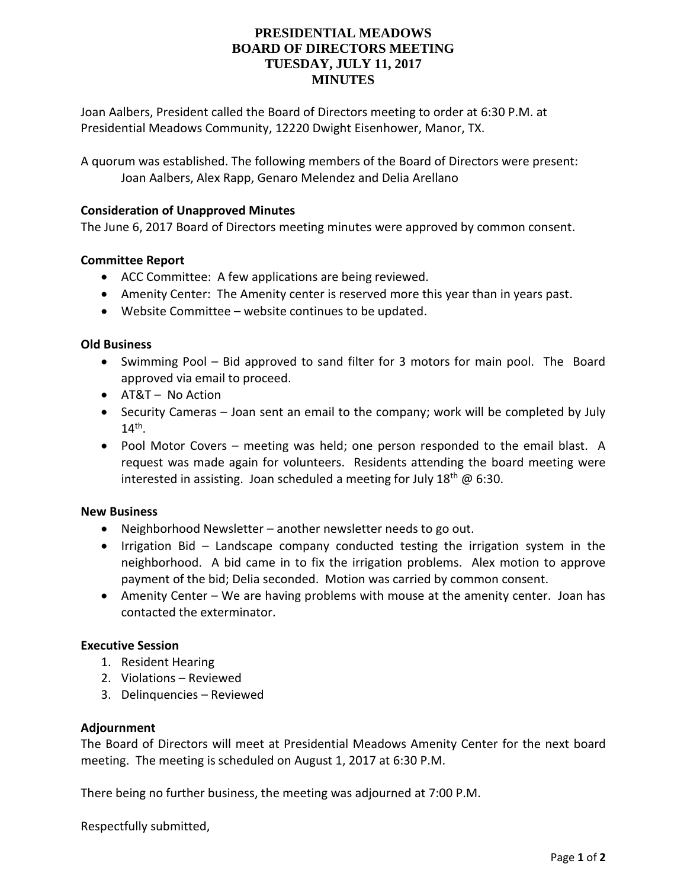## **PRESIDENTIAL MEADOWS BOARD OF DIRECTORS MEETING TUESDAY, JULY 11, 2017 MINUTES**

Joan Aalbers, President called the Board of Directors meeting to order at 6:30 P.M. at Presidential Meadows Community, 12220 Dwight Eisenhower, Manor, TX.

A quorum was established. The following members of the Board of Directors were present: Joan Aalbers, Alex Rapp, Genaro Melendez and Delia Arellano

## **Consideration of Unapproved Minutes**

The June 6, 2017 Board of Directors meeting minutes were approved by common consent.

### **Committee Report**

- ACC Committee: A few applications are being reviewed.
- Amenity Center: The Amenity center is reserved more this year than in years past.
- Website Committee website continues to be updated.

#### **Old Business**

- Swimming Pool Bid approved to sand filter for 3 motors for main pool. The Board approved via email to proceed.
- AT&T No Action
- Security Cameras Joan sent an email to the company; work will be completed by July  $14^{\text{th}}$ .
- Pool Motor Covers meeting was held; one person responded to the email blast. A request was made again for volunteers. Residents attending the board meeting were interested in assisting. Joan scheduled a meeting for July  $18<sup>th</sup>$  @ 6:30.

#### **New Business**

- Neighborhood Newsletter another newsletter needs to go out.
- Irrigation Bid Landscape company conducted testing the irrigation system in the neighborhood. A bid came in to fix the irrigation problems. Alex motion to approve payment of the bid; Delia seconded. Motion was carried by common consent.
- Amenity Center We are having problems with mouse at the amenity center. Joan has contacted the exterminator.

#### **Executive Session**

- 1. Resident Hearing
- 2. Violations Reviewed
- 3. Delinquencies Reviewed

#### **Adjournment**

The Board of Directors will meet at Presidential Meadows Amenity Center for the next board meeting. The meeting is scheduled on August 1, 2017 at 6:30 P.M.

There being no further business, the meeting was adjourned at 7:00 P.M.

Respectfully submitted,